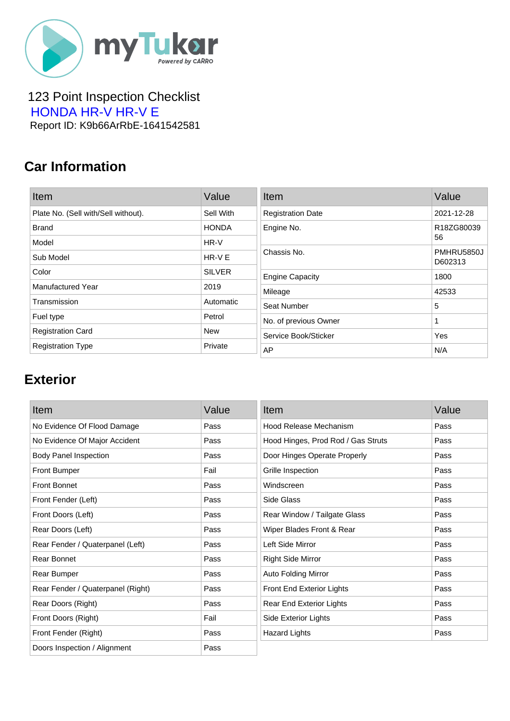

 123 Point Inspection Checklist HONDA HR-V HR-V E Report ID: K9b66ArRbE-1641542581

### **Car Information**

| Item                                | Value         | Item                     | Value                 |
|-------------------------------------|---------------|--------------------------|-----------------------|
| Plate No. (Sell with/Sell without). | Sell With     | <b>Registration Date</b> | 2021-12-28            |
| <b>Brand</b>                        | <b>HONDA</b>  | Engine No.               | R18ZG80039            |
| Model                               | HR-V          |                          | 56                    |
| Sub Model                           | $HR-VE$       | Chassis No.              | PMHRU5850J<br>D602313 |
| Color                               | <b>SILVER</b> | <b>Engine Capacity</b>   | 1800                  |
| <b>Manufactured Year</b>            | 2019          | Mileage                  | 42533                 |
| Transmission                        | Automatic     | Seat Number              | 5                     |
| Fuel type                           | Petrol        | No. of previous Owner    |                       |
| <b>Registration Card</b>            | <b>New</b>    | Service Book/Sticker     | Yes                   |
| <b>Registration Type</b>            | Private       | AP                       | N/A                   |

#### **Exterior**

| Item                              | Value | Item                               | Value |
|-----------------------------------|-------|------------------------------------|-------|
| No Evidence Of Flood Damage       | Pass  | Hood Release Mechanism             | Pass  |
| No Evidence Of Major Accident     | Pass  | Hood Hinges, Prod Rod / Gas Struts | Pass  |
| <b>Body Panel Inspection</b>      | Pass  | Door Hinges Operate Properly       | Pass  |
| <b>Front Bumper</b>               | Fail  | Grille Inspection                  | Pass  |
| <b>Front Bonnet</b>               | Pass  | Windscreen                         | Pass  |
| Front Fender (Left)               | Pass  | Side Glass                         | Pass  |
| Front Doors (Left)                | Pass  | Rear Window / Tailgate Glass       | Pass  |
| Rear Doors (Left)                 | Pass  | Wiper Blades Front & Rear          | Pass  |
| Rear Fender / Quaterpanel (Left)  | Pass  | Left Side Mirror                   | Pass  |
| Rear Bonnet                       | Pass  | <b>Right Side Mirror</b>           | Pass  |
| Rear Bumper                       | Pass  | <b>Auto Folding Mirror</b>         | Pass  |
| Rear Fender / Quaterpanel (Right) | Pass  | Front End Exterior Lights          | Pass  |
| Rear Doors (Right)                | Pass  | Rear End Exterior Lights           | Pass  |
| Front Doors (Right)               | Fail  | Side Exterior Lights               | Pass  |
| Front Fender (Right)              | Pass  | <b>Hazard Lights</b>               | Pass  |
| Doors Inspection / Alignment      | Pass  |                                    |       |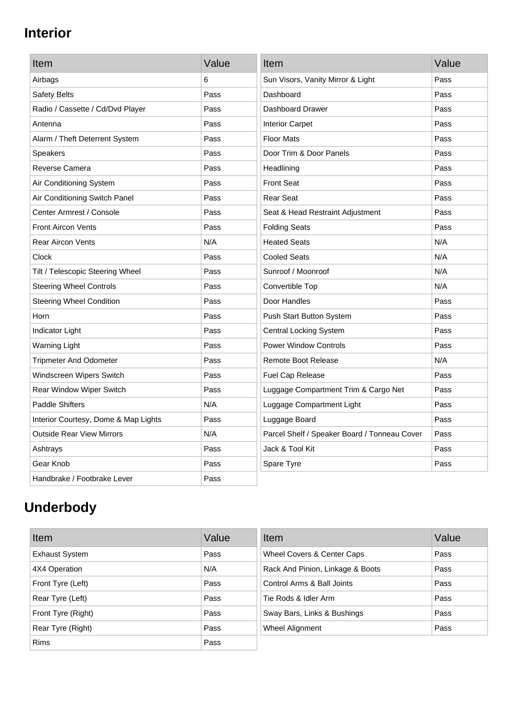## **Interior**

| Item                                 | Value | Item                                         | Value |
|--------------------------------------|-------|----------------------------------------------|-------|
| Airbags                              | 6     | Sun Visors, Vanity Mirror & Light            | Pass  |
| Safety Belts                         | Pass  | Dashboard                                    | Pass  |
| Radio / Cassette / Cd/Dvd Player     | Pass  | Dashboard Drawer                             | Pass  |
| Antenna                              | Pass  | <b>Interior Carpet</b>                       | Pass  |
| Alarm / Theft Deterrent System       | Pass  | <b>Floor Mats</b>                            | Pass  |
| <b>Speakers</b>                      | Pass  | Door Trim & Door Panels                      | Pass  |
| Reverse Camera                       | Pass  | Headlining                                   | Pass  |
| Air Conditioning System              | Pass  | <b>Front Seat</b>                            | Pass  |
| Air Conditioning Switch Panel        | Pass  | <b>Rear Seat</b>                             | Pass  |
| Center Armrest / Console             | Pass  | Seat & Head Restraint Adjustment             | Pass  |
| <b>Front Aircon Vents</b>            | Pass  | <b>Folding Seats</b>                         | Pass  |
| <b>Rear Aircon Vents</b>             | N/A   | <b>Heated Seats</b>                          | N/A   |
| Clock                                | Pass  | <b>Cooled Seats</b>                          | N/A   |
| Tilt / Telescopic Steering Wheel     | Pass  | Sunroof / Moonroof                           | N/A   |
| <b>Steering Wheel Controls</b>       | Pass  | Convertible Top                              | N/A   |
| <b>Steering Wheel Condition</b>      | Pass  | Door Handles                                 | Pass  |
| Horn                                 | Pass  | Push Start Button System                     | Pass  |
| <b>Indicator Light</b>               | Pass  | <b>Central Locking System</b>                | Pass  |
| <b>Warning Light</b>                 | Pass  | <b>Power Window Controls</b>                 | Pass  |
| <b>Tripmeter And Odometer</b>        | Pass  | <b>Remote Boot Release</b>                   | N/A   |
| Windscreen Wipers Switch             | Pass  | Fuel Cap Release                             | Pass  |
| Rear Window Wiper Switch             | Pass  | Luggage Compartment Trim & Cargo Net         | Pass  |
| <b>Paddle Shifters</b>               | N/A   | Luggage Compartment Light                    | Pass  |
| Interior Courtesy, Dome & Map Lights | Pass  | Luggage Board                                | Pass  |
| <b>Outside Rear View Mirrors</b>     | N/A   | Parcel Shelf / Speaker Board / Tonneau Cover | Pass  |
| Ashtrays                             | Pass  | Jack & Tool Kit                              | Pass  |
| Gear Knob                            | Pass  | Spare Tyre                                   | Pass  |
| Handbrake / Footbrake Lever          | Pass  |                                              |       |

# **Underbody**

| Item                  | Value | Item                             | Value |
|-----------------------|-------|----------------------------------|-------|
| <b>Exhaust System</b> | Pass  | Wheel Covers & Center Caps       | Pass  |
| 4X4 Operation         | N/A   | Rack And Pinion, Linkage & Boots | Pass  |
| Front Tyre (Left)     | Pass  | Control Arms & Ball Joints       | Pass  |
| Rear Tyre (Left)      | Pass  | Tie Rods & Idler Arm             | Pass  |
| Front Tyre (Right)    | Pass  | Sway Bars, Links & Bushings      | Pass  |
| Rear Tyre (Right)     | Pass  | Wheel Alignment                  | Pass  |
| <b>Rims</b>           | Pass  |                                  |       |